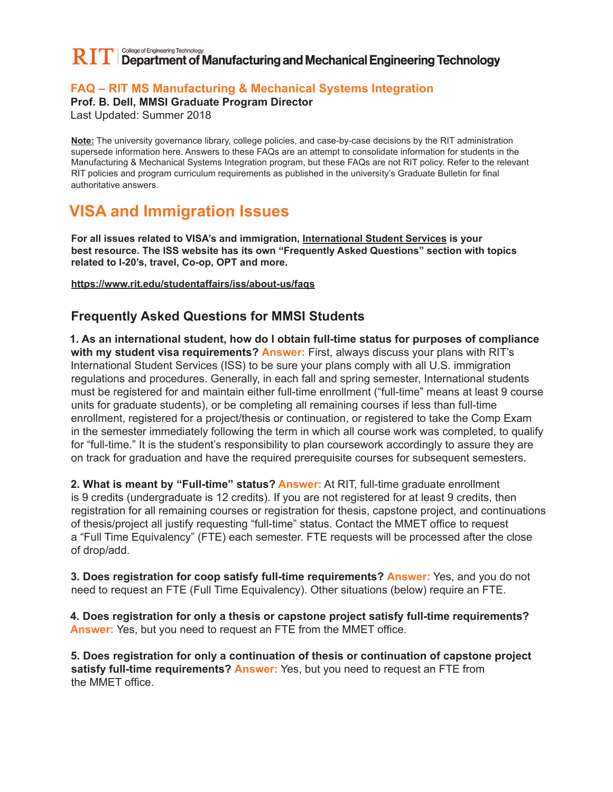## College of Engineering Technology  $\mathbf{RIT}$   $\mathbf{IT}$  Department of Manufacturing and Mechanical Engineering Technology

## **FAQ – RIT MS Manufacturing & Mechanical Systems Integration**

**Prof. B. Dell, MMSI Graduate Program Director**

Last Updated: Summer 2018

**Note:** The university governance library, college policies, and case-by-case decisions by the RIT administration supersede information here. Answers to these FAQs are an attempt to consolidate information for students in the Manufacturing & Mechanical Systems Integration program, but these FAQs are not RIT policy. Refer to the relevant RIT policies and program curriculum requirements as published in the university's Graduate Bulletin for final authoritative answers.

## **VISA and Immigration Issues**

**For all issues related to VISA's and immigration, International Student Services is your best resource. The ISS website has its own "Frequently Asked Questions" section with topics related to I-20's, travel, Co-op, OPT and more.**

**https://www.rit.edu/studentaffairs/iss/about-us/faqs**

## **Frequently Asked Questions for MMSI Students**

**1. As an international student, how do I obtain full-time status for purposes of compliance with my student visa requirements? Answer:** First, always discuss your plans with RIT's International Student Services (ISS) to be sure your plans comply with all U.S. immigration regulations and procedures. Generally, in each fall and spring semester, International students must be registered for and maintain either full-time enrollment ("full-time" means at least 9 course units for graduate students), or be completing all remaining courses if less than full-time enrollment, registered for a project/thesis or continuation, or registered to take the Comp Exam in the semester immediately following the term in which all course work was completed, to qualify for "full-time." It is the student's responsibility to plan coursework accordingly to assure they are on track for graduation and have the required prerequisite courses for subsequent semesters.

**2. What is meant by "Full-time" status? Answer:** At RIT, full-time graduate enrollment is 9 credits (undergraduate is 12 credits). If you are not registered for at least 9 credits, then registration for all remaining courses or registration for thesis, capstone project, and continuations of thesis/project all justify requesting "full-time" status. Contact the MMET office to request a "Full Time Equivalency" (FTE) each semester. FTE requests will be processed after the close of drop/add.

**3. Does registration for coop satisfy full-time requirements? Answer:** Yes, and you do not need to request an FTE (Full Time Equivalency). Other situations (below) require an FTE.

**4. Does registration for only a thesis or capstone project satisfy full-time requirements? Answer:** Yes, but you need to request an FTE from the MMET office.

**5. Does registration for only a continuation of thesis or continuation of capstone project satisfy full-time requirements? Answer:** Yes, but you need to request an FTE from the MMET office.